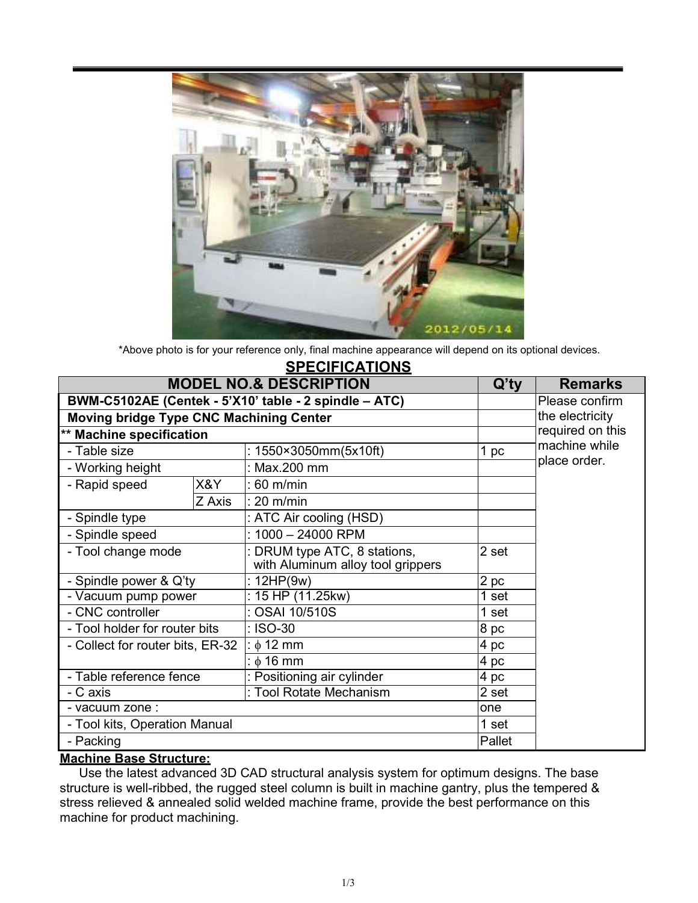

\*Above photo is for your reference only, final machine appearance will depend on its optional devices.

| <b>SPECIFICATIONS</b>                                 |        |                                                                   |                 |                                                       |
|-------------------------------------------------------|--------|-------------------------------------------------------------------|-----------------|-------------------------------------------------------|
| <b>MODEL NO.&amp; DESCRIPTION</b>                     |        |                                                                   | $Q'$ ty         | <b>Remarks</b>                                        |
| BWM-C5102AE (Centek - 5'X10' table - 2 spindle - ATC) |        |                                                                   |                 | Please confirm<br>the electricity<br>required on this |
| <b>Moving bridge Type CNC Machining Center</b>        |        |                                                                   |                 |                                                       |
| ** Machine specification                              |        |                                                                   |                 |                                                       |
| - Table size                                          |        | : 1550×3050mm(5x10ft)                                             | 1 <sub>pc</sub> | machine while<br>place order.                         |
| - Working height                                      |        | : Max.200 mm                                                      |                 |                                                       |
| - Rapid speed                                         | X&Y    | $:60 \; \text{m/min}$                                             |                 |                                                       |
|                                                       | Z Axis | $: 20$ m/min                                                      |                 |                                                       |
| - Spindle type                                        |        | : ATC Air cooling (HSD)                                           |                 |                                                       |
| - Spindle speed                                       |        | : $1000 - 24000$ RPM                                              |                 |                                                       |
| - Tool change mode                                    |        | : DRUM type ATC, 8 stations,<br>with Aluminum alloy tool grippers | 2 set           |                                                       |
| - Spindle power & Q'ty                                |        | : $12HP(9w)$                                                      | 2 pc            |                                                       |
| - Vacuum pump power                                   |        | : 15 HP (11.25kw)                                                 | 1 set           |                                                       |
| - CNC controller                                      |        | : OSAI 10/510S                                                    | 1 set           |                                                       |
| - Tool holder for router bits                         |        | : ISO-30                                                          | 8 pc            |                                                       |
| - Collect for router bits, ER-32                      |        | : $\phi$ 12 mm                                                    | 4 pc            |                                                       |
|                                                       |        | $: 16 \text{ mm}$                                                 | 4 pc            |                                                       |
| - Table reference fence                               |        | : Positioning air cylinder                                        | 4 pc            |                                                       |
| - C axis                                              |        | : Tool Rotate Mechanism                                           | 2 set           |                                                       |
| - vacuum zone :                                       |        |                                                                   | one             |                                                       |
| - Tool kits, Operation Manual                         |        |                                                                   | 1 set           |                                                       |
| - Packing                                             |        |                                                                   | Pallet          |                                                       |

#### 1/3

# **Machine Base Structure:**

Use the latest advanced 3D CAD structural analysis system for optimum designs. The base structure is well-ribbed, the rugged steel column is built in machine gantry, plus the tempered & stress relieved & annealed solid welded machine frame, provide the best performance on this machine for product machining.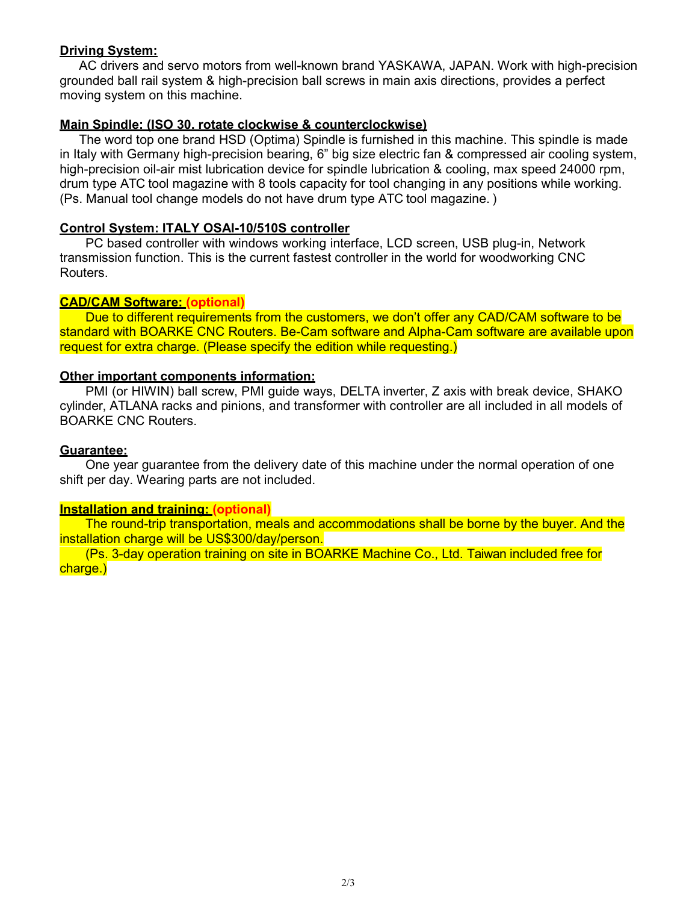### **Driving System:**

AC drivers and servo motors from well-known brand YASKAWA, JAPAN. Work with high-precision grounded ball rail system & high-precision ball screws in main axis directions, provides a perfect moving system on this machine.

### **Main Spindle: (ISO 30. rotate clockwise & counterclockwise)**

The word top one brand HSD (Optima) Spindle is furnished in this machine. This spindle is made in Italy with Germany high-precision bearing, 6" big size electric fan & compressed air cooling system, high-precision oil-air mist lubrication device for spindle lubrication & cooling, max speed 24000 rpm, drum type ATC tool magazine with 8 tools capacity for tool changing in any positions while working. (Ps. Manual tool change models do not have drum type ATC tool magazine. )

#### **Control System: ITALY OSAI-10/510S controller**

PC based controller with windows working interface, LCD screen, USB plug-in, Network transmission function. This is the current fastest controller in the world for woodworking CNC Routers.

#### **CAD/CAM Software: (optional)**

 Due to different requirements from the customers, we don't offer any CAD/CAM software to be standard with BOARKE CNC Routers. Be-Cam software and Alpha-Cam software are available upon request for extra charge. (Please specify the edition while requesting.)

#### **Other important components information:**

PMI (or HIWIN) ball screw, PMI guide ways, DELTA inverter, Z axis with break device, SHAKO cylinder, ATLANA racks and pinions, and transformer with controller are all included in all models of BOARKE CNC Routers.

#### **Guarantee:**

One year guarantee from the delivery date of this machine under the normal operation of one shift per day. Wearing parts are not included.

#### **Installation and training: (optional)**

 The round-trip transportation, meals and accommodations shall be borne by the buyer. And the installation charge will be US\$300/day/person.

 (Ps. 3-day operation training on site in BOARKE Machine Co., Ltd. Taiwan included free for charge.)